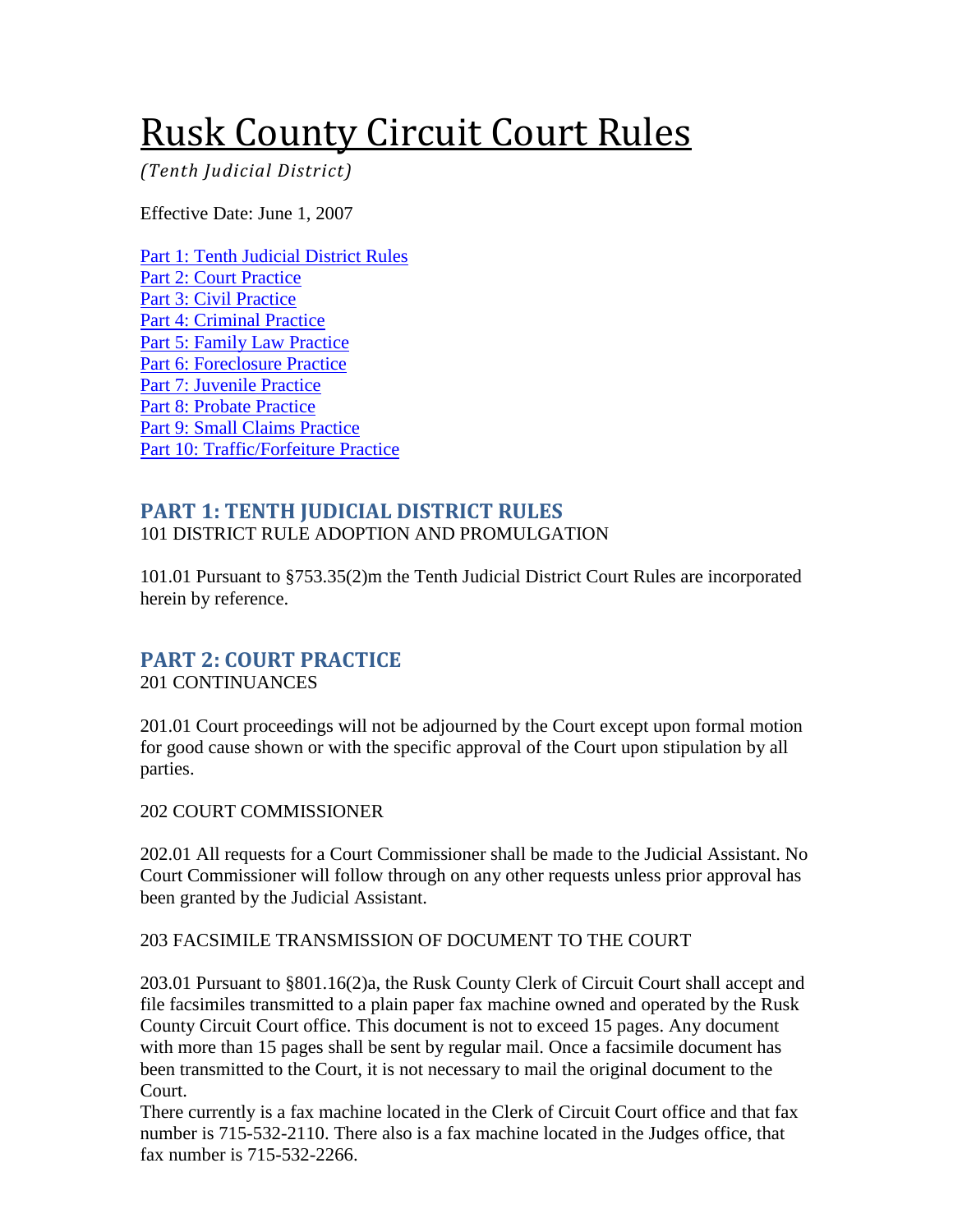# <span id="page-0-2"></span>Rusk County Circuit Court Rules

*(Tenth Judicial District)* 

Effective Date: June 1, 2007

[Part 1: Tenth Judicial District Rules](#page-0-0) [Part 2: Court Practice](#page-0-1) [Part 3: Civil Practice](#page-1-0) [Part 4: Criminal Practice](#page-2-0) [Part 5: Family Law Practice](#page-3-0) [Part 6: Foreclosure Practice](#page-6-0) [Part 7: Juvenile Practice](#page-6-1) [Part 8: Probate Practice](#page-6-2) [Part 9: Small Claims Practice](#page-6-3) [Part 10: Traffic/Forfeiture Practice](#page-7-0)

# <span id="page-0-0"></span>**PART 1: TENTH JUDICIAL DISTRICT RULES**

101 DISTRICT RULE ADOPTION AND PROMULGATION

101.01 Pursuant to §753.35(2)m the Tenth Judicial District Court Rules are incorporated herein by reference.

# <span id="page-0-1"></span>**PART 2: COURT PRACTICE**

201 CONTINUANCES

201.01 Court proceedings will not be adjourned by the Court except upon formal motion for good cause shown or with the specific approval of the Court upon stipulation by all parties.

#### 202 COURT COMMISSIONER

202.01 All requests for a Court Commissioner shall be made to the Judicial Assistant. No Court Commissioner will follow through on any other requests unless prior approval has been granted by the Judicial Assistant.

#### 203 FACSIMILE TRANSMISSION OF DOCUMENT TO THE COURT

203.01 Pursuant to §801.16(2)a, the Rusk County Clerk of Circuit Court shall accept and file facsimiles transmitted to a plain paper fax machine owned and operated by the Rusk County Circuit Court office. This document is not to exceed 15 pages. Any document with more than 15 pages shall be sent by regular mail. Once a facsimile document has been transmitted to the Court, it is not necessary to mail the original document to the Court.

There currently is a fax machine located in the Clerk of Circuit Court office and that fax number is 715-532-2110. There also is a fax machine located in the Judges office, that fax number is 715-532-2266.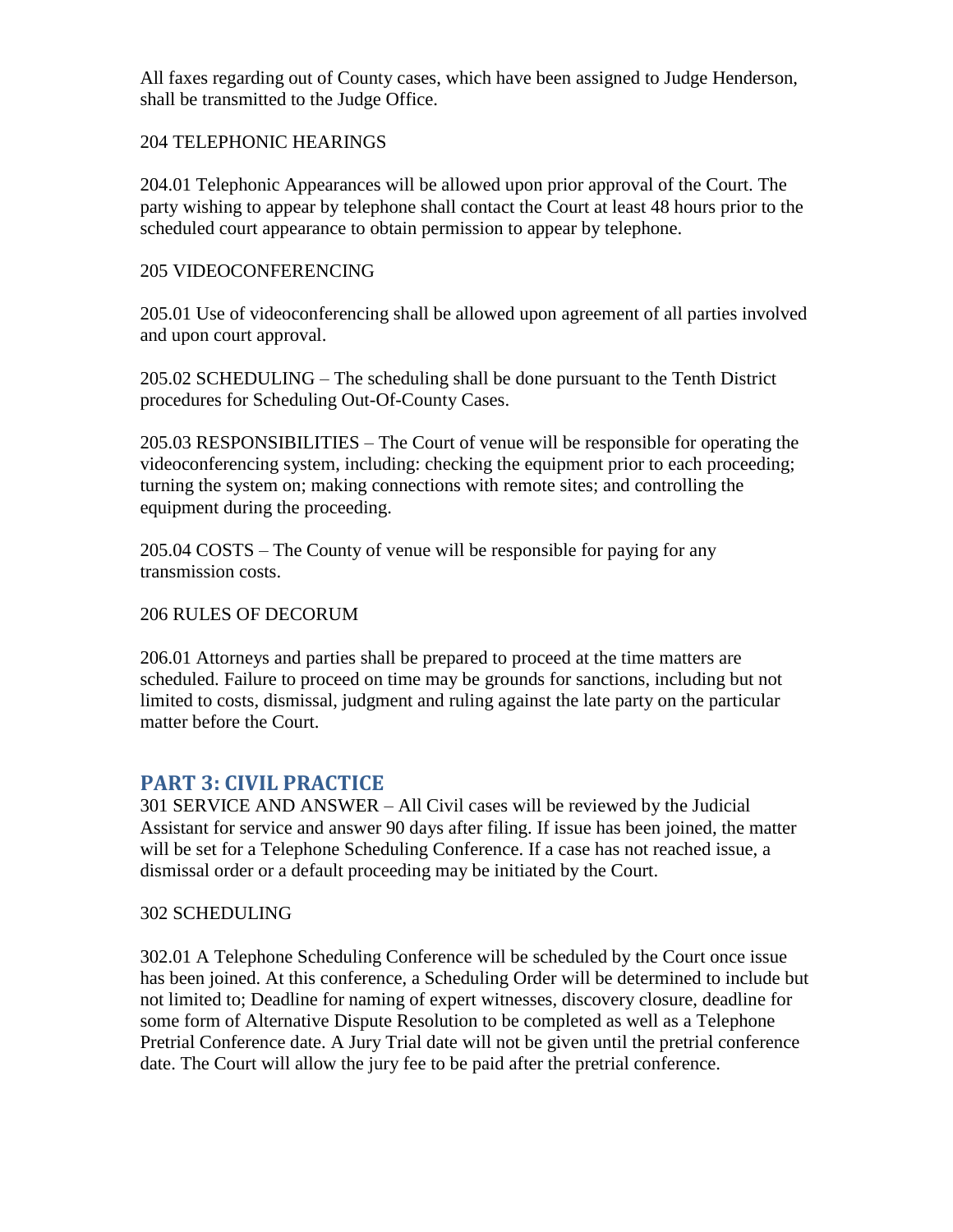All faxes regarding out of County cases, which have been assigned to Judge Henderson, shall be transmitted to the Judge Office.

#### 204 TELEPHONIC HEARINGS

204.01 Telephonic Appearances will be allowed upon prior approval of the Court. The party wishing to appear by telephone shall contact the Court at least 48 hours prior to the scheduled court appearance to obtain permission to appear by telephone.

#### 205 VIDEOCONFERENCING

205.01 Use of videoconferencing shall be allowed upon agreement of all parties involved and upon court approval.

205.02 SCHEDULING – The scheduling shall be done pursuant to the Tenth District procedures for Scheduling Out-Of-County Cases.

205.03 RESPONSIBILITIES – The Court of venue will be responsible for operating the videoconferencing system, including: checking the equipment prior to each proceeding; turning the system on; making connections with remote sites; and controlling the equipment during the proceeding.

205.04 COSTS – The County of venue will be responsible for paying for any transmission costs.

#### 206 RULES OF DECORUM

206.01 Attorneys and parties shall be prepared to proceed at the time matters are scheduled. Failure to proceed on time may be grounds for sanctions, including but not limited to costs, dismissal, judgment and ruling against the late party on the particular matter before the Court.

#### <span id="page-1-0"></span>**PART 3: CIVIL PRACTICE**

301 SERVICE AND ANSWER – All Civil cases will be reviewed by the Judicial Assistant for service and answer 90 days after filing. If issue has been joined, the matter will be set for a Telephone Scheduling Conference. If a case has not reached issue, a dismissal order or a default proceeding may be initiated by the Court.

#### 302 SCHEDULING

302.01 A Telephone Scheduling Conference will be scheduled by the Court once issue has been joined. At this conference, a Scheduling Order will be determined to include but not limited to; Deadline for naming of expert witnesses, discovery closure, deadline for some form of Alternative Dispute Resolution to be completed as well as a Telephone Pretrial Conference date. A Jury Trial date will not be given until the pretrial conference date. The Court will allow the jury fee to be paid after the pretrial conference.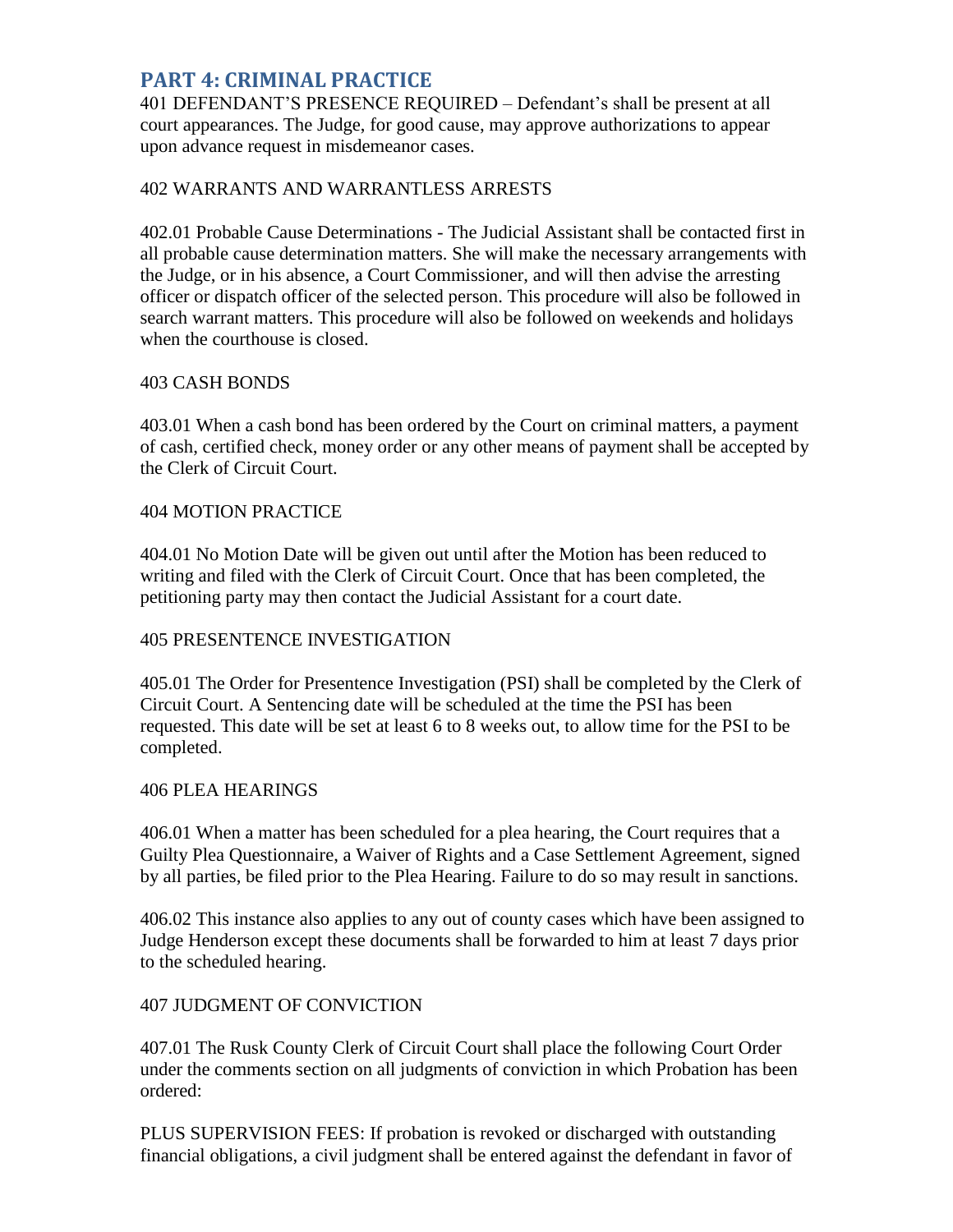#### <span id="page-2-0"></span>**PART 4: CRIMINAL PRACTICE**

401 DEFENDANT'S PRESENCE REQUIRED – Defendant's shall be present at all court appearances. The Judge, for good cause, may approve authorizations to appear upon advance request in misdemeanor cases.

#### 402 WARRANTS AND WARRANTLESS ARRESTS

402.01 Probable Cause Determinations - The Judicial Assistant shall be contacted first in all probable cause determination matters. She will make the necessary arrangements with the Judge, or in his absence, a Court Commissioner, and will then advise the arresting officer or dispatch officer of the selected person. This procedure will also be followed in search warrant matters. This procedure will also be followed on weekends and holidays when the courthouse is closed.

#### 403 CASH BONDS

403.01 When a cash bond has been ordered by the Court on criminal matters, a payment of cash, certified check, money order or any other means of payment shall be accepted by the Clerk of Circuit Court.

#### 404 MOTION PRACTICE

404.01 No Motion Date will be given out until after the Motion has been reduced to writing and filed with the Clerk of Circuit Court. Once that has been completed, the petitioning party may then contact the Judicial Assistant for a court date.

#### 405 PRESENTENCE INVESTIGATION

405.01 The Order for Presentence Investigation (PSI) shall be completed by the Clerk of Circuit Court. A Sentencing date will be scheduled at the time the PSI has been requested. This date will be set at least 6 to 8 weeks out, to allow time for the PSI to be completed.

#### 406 PLEA HEARINGS

406.01 When a matter has been scheduled for a plea hearing, the Court requires that a Guilty Plea Questionnaire, a Waiver of Rights and a Case Settlement Agreement, signed by all parties, be filed prior to the Plea Hearing. Failure to do so may result in sanctions.

406.02 This instance also applies to any out of county cases which have been assigned to Judge Henderson except these documents shall be forwarded to him at least 7 days prior to the scheduled hearing.

#### 407 JUDGMENT OF CONVICTION

407.01 The Rusk County Clerk of Circuit Court shall place the following Court Order under the comments section on all judgments of conviction in which Probation has been ordered:

PLUS SUPERVISION FEES: If probation is revoked or discharged with outstanding financial obligations, a civil judgment shall be entered against the defendant in favor of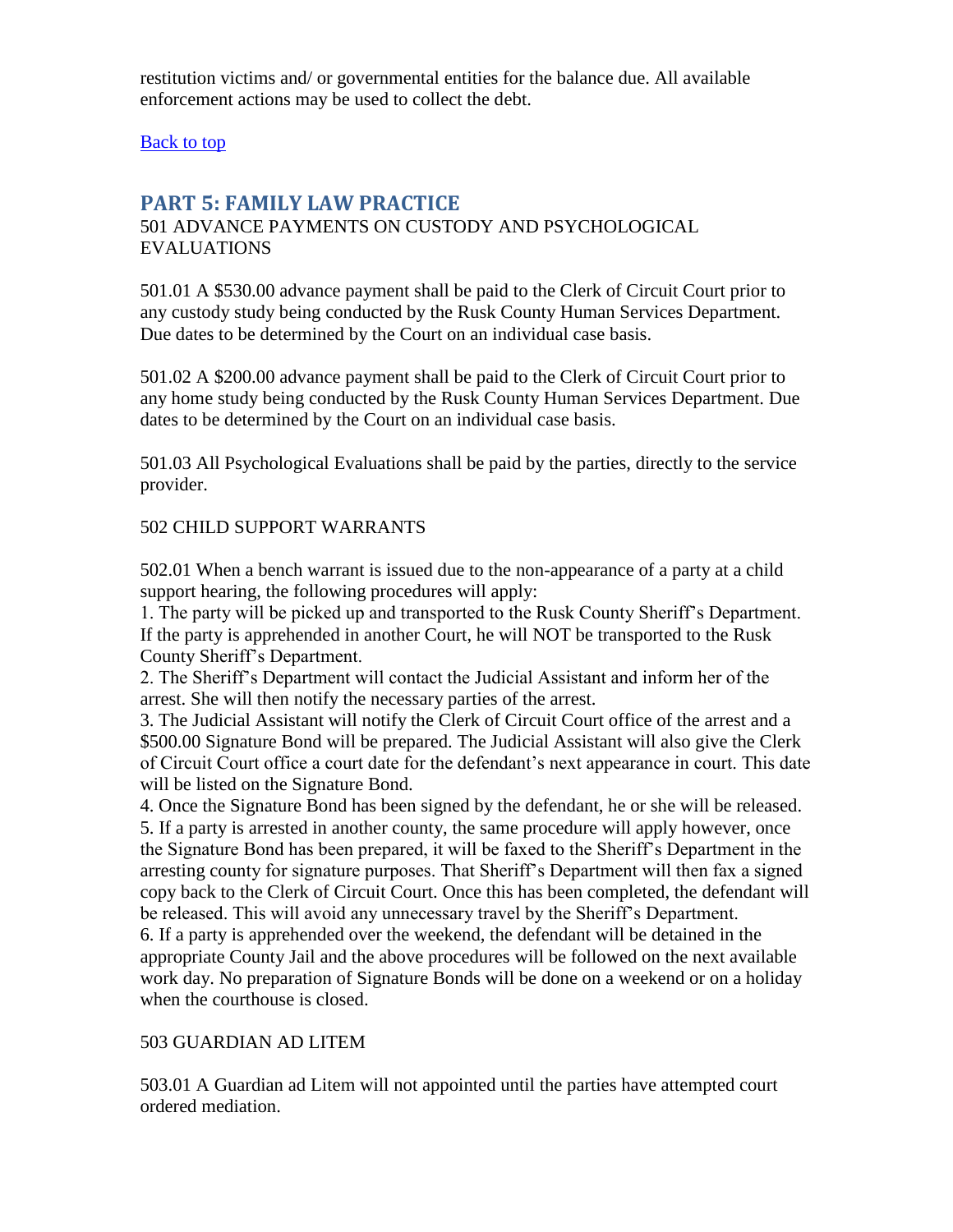restitution victims and/ or governmental entities for the balance due. All available enforcement actions may be used to collect the debt.

<span id="page-3-0"></span>[Back to top](#page-0-2)

#### **PART 5: FAMILY LAW PRACTICE**

#### 501 ADVANCE PAYMENTS ON CUSTODY AND PSYCHOLOGICAL EVALUATIONS

501.01 A \$530.00 advance payment shall be paid to the Clerk of Circuit Court prior to any custody study being conducted by the Rusk County Human Services Department. Due dates to be determined by the Court on an individual case basis.

501.02 A \$200.00 advance payment shall be paid to the Clerk of Circuit Court prior to any home study being conducted by the Rusk County Human Services Department. Due dates to be determined by the Court on an individual case basis.

501.03 All Psychological Evaluations shall be paid by the parties, directly to the service provider.

#### 502 CHILD SUPPORT WARRANTS

502.01 When a bench warrant is issued due to the non-appearance of a party at a child support hearing, the following procedures will apply:

1. The party will be picked up and transported to the Rusk County Sheriff's Department. If the party is apprehended in another Court, he will NOT be transported to the Rusk County Sheriff's Department.

2. The Sheriff's Department will contact the Judicial Assistant and inform her of the arrest. She will then notify the necessary parties of the arrest.

3. The Judicial Assistant will notify the Clerk of Circuit Court office of the arrest and a \$500.00 Signature Bond will be prepared. The Judicial Assistant will also give the Clerk of Circuit Court office a court date for the defendant's next appearance in court. This date will be listed on the Signature Bond.

4. Once the Signature Bond has been signed by the defendant, he or she will be released. 5. If a party is arrested in another county, the same procedure will apply however, once the Signature Bond has been prepared, it will be faxed to the Sheriff's Department in the arresting county for signature purposes. That Sheriff's Department will then fax a signed copy back to the Clerk of Circuit Court. Once this has been completed, the defendant will be released. This will avoid any unnecessary travel by the Sheriff's Department.

6. If a party is apprehended over the weekend, the defendant will be detained in the appropriate County Jail and the above procedures will be followed on the next available work day. No preparation of Signature Bonds will be done on a weekend or on a holiday when the courthouse is closed.

#### 503 GUARDIAN AD LITEM

503.01 A Guardian ad Litem will not appointed until the parties have attempted court ordered mediation.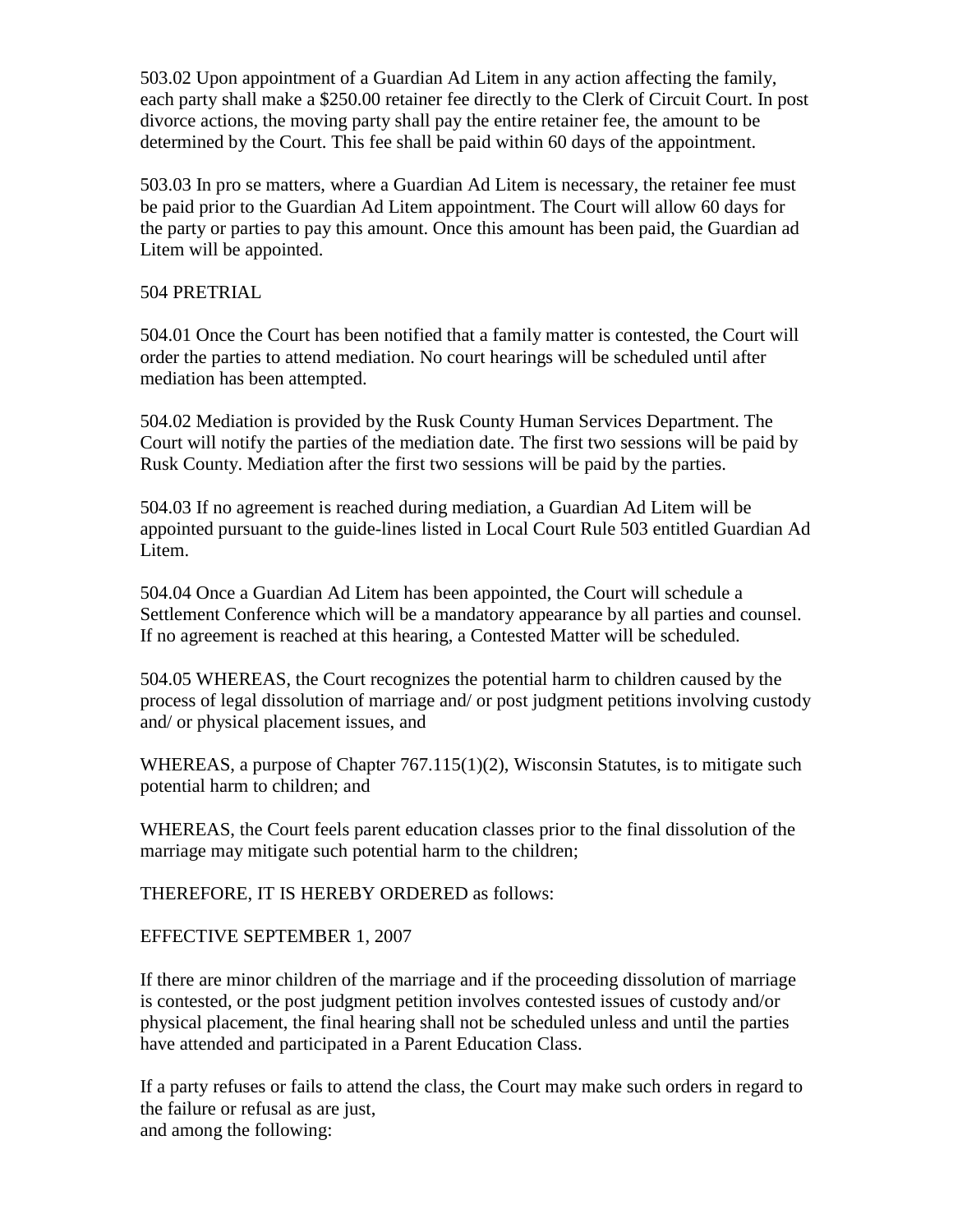503.02 Upon appointment of a Guardian Ad Litem in any action affecting the family, each party shall make a \$250.00 retainer fee directly to the Clerk of Circuit Court. In post divorce actions, the moving party shall pay the entire retainer fee, the amount to be determined by the Court. This fee shall be paid within 60 days of the appointment.

503.03 In pro se matters, where a Guardian Ad Litem is necessary, the retainer fee must be paid prior to the Guardian Ad Litem appointment. The Court will allow 60 days for the party or parties to pay this amount. Once this amount has been paid, the Guardian ad Litem will be appointed.

#### 504 PRETRIAL

504.01 Once the Court has been notified that a family matter is contested, the Court will order the parties to attend mediation. No court hearings will be scheduled until after mediation has been attempted.

504.02 Mediation is provided by the Rusk County Human Services Department. The Court will notify the parties of the mediation date. The first two sessions will be paid by Rusk County. Mediation after the first two sessions will be paid by the parties.

504.03 If no agreement is reached during mediation, a Guardian Ad Litem will be appointed pursuant to the guide-lines listed in Local Court Rule 503 entitled Guardian Ad Litem.

504.04 Once a Guardian Ad Litem has been appointed, the Court will schedule a Settlement Conference which will be a mandatory appearance by all parties and counsel. If no agreement is reached at this hearing, a Contested Matter will be scheduled.

504.05 WHEREAS, the Court recognizes the potential harm to children caused by the process of legal dissolution of marriage and/ or post judgment petitions involving custody and/ or physical placement issues, and

WHEREAS, a purpose of Chapter 767.115(1)(2), Wisconsin Statutes, is to mitigate such potential harm to children; and

WHEREAS, the Court feels parent education classes prior to the final dissolution of the marriage may mitigate such potential harm to the children;

THEREFORE, IT IS HEREBY ORDERED as follows:

EFFECTIVE SEPTEMBER 1, 2007

If there are minor children of the marriage and if the proceeding dissolution of marriage is contested, or the post judgment petition involves contested issues of custody and/or physical placement, the final hearing shall not be scheduled unless and until the parties have attended and participated in a Parent Education Class.

If a party refuses or fails to attend the class, the Court may make such orders in regard to the failure or refusal as are just, and among the following: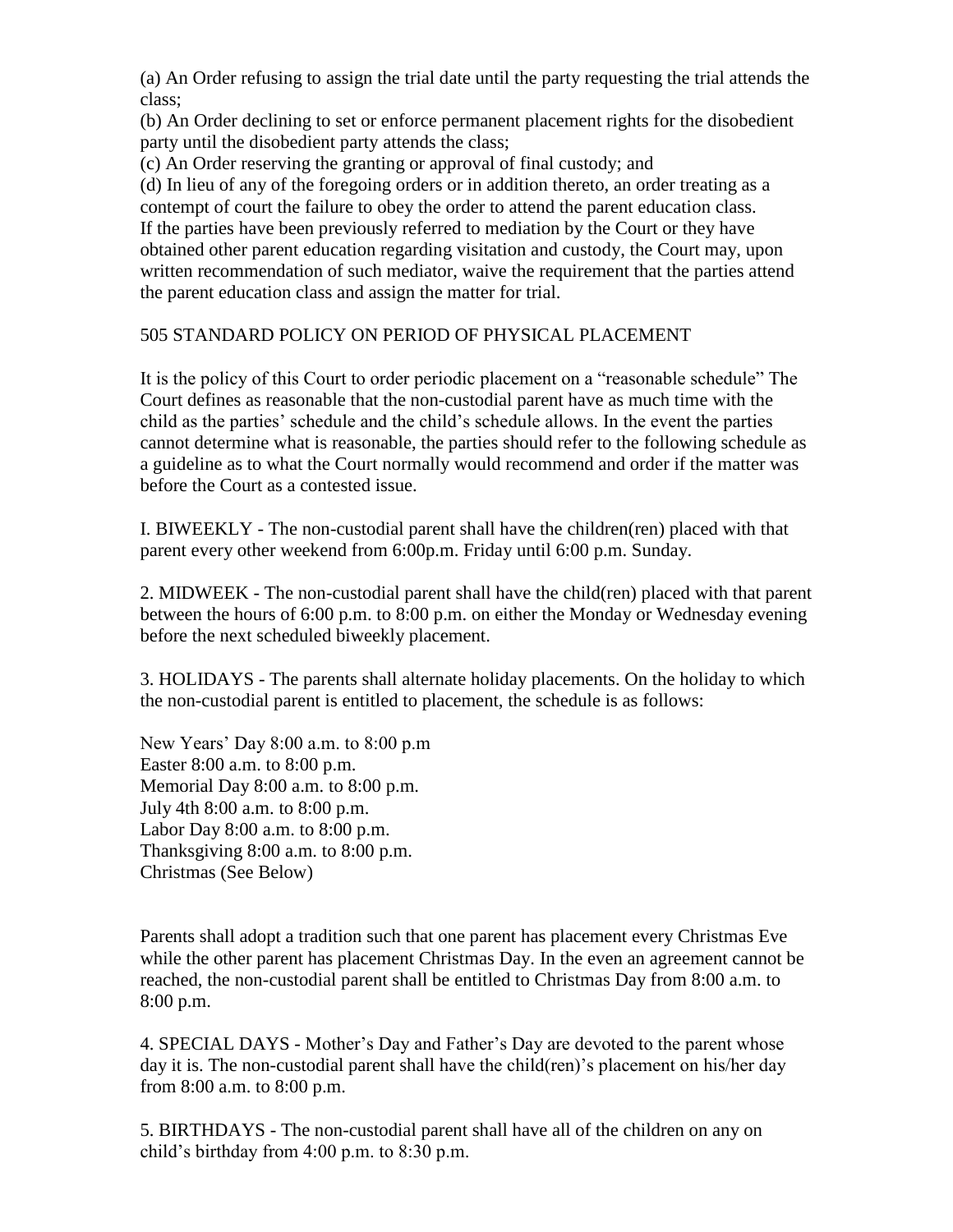(a) An Order refusing to assign the trial date until the party requesting the trial attends the class;

(b) An Order declining to set or enforce permanent placement rights for the disobedient party until the disobedient party attends the class;

(c) An Order reserving the granting or approval of final custody; and

(d) In lieu of any of the foregoing orders or in addition thereto, an order treating as a contempt of court the failure to obey the order to attend the parent education class. If the parties have been previously referred to mediation by the Court or they have obtained other parent education regarding visitation and custody, the Court may, upon written recommendation of such mediator, waive the requirement that the parties attend the parent education class and assign the matter for trial.

#### 505 STANDARD POLICY ON PERIOD OF PHYSICAL PLACEMENT

It is the policy of this Court to order periodic placement on a "reasonable schedule" The Court defines as reasonable that the non-custodial parent have as much time with the child as the parties' schedule and the child's schedule allows. In the event the parties cannot determine what is reasonable, the parties should refer to the following schedule as a guideline as to what the Court normally would recommend and order if the matter was before the Court as a contested issue.

I. BIWEEKLY - The non-custodial parent shall have the children(ren) placed with that parent every other weekend from 6:00p.m. Friday until 6:00 p.m. Sunday.

2. MIDWEEK - The non-custodial parent shall have the child(ren) placed with that parent between the hours of 6:00 p.m. to 8:00 p.m. on either the Monday or Wednesday evening before the next scheduled biweekly placement.

3. HOLIDAYS - The parents shall alternate holiday placements. On the holiday to which the non-custodial parent is entitled to placement, the schedule is as follows:

New Years' Day 8:00 a.m. to 8:00 p.m Easter 8:00 a.m. to 8:00 p.m. Memorial Day 8:00 a.m. to 8:00 p.m. July 4th 8:00 a.m. to 8:00 p.m. Labor Day 8:00 a.m. to 8:00 p.m. Thanksgiving 8:00 a.m. to 8:00 p.m. Christmas (See Below)

Parents shall adopt a tradition such that one parent has placement every Christmas Eve while the other parent has placement Christmas Day. In the even an agreement cannot be reached, the non-custodial parent shall be entitled to Christmas Day from 8:00 a.m. to 8:00 p.m.

4. SPECIAL DAYS - Mother's Day and Father's Day are devoted to the parent whose day it is. The non-custodial parent shall have the child(ren)'s placement on his/her day from 8:00 a.m. to 8:00 p.m.

5. BIRTHDAYS - The non-custodial parent shall have all of the children on any on child's birthday from 4:00 p.m. to 8:30 p.m.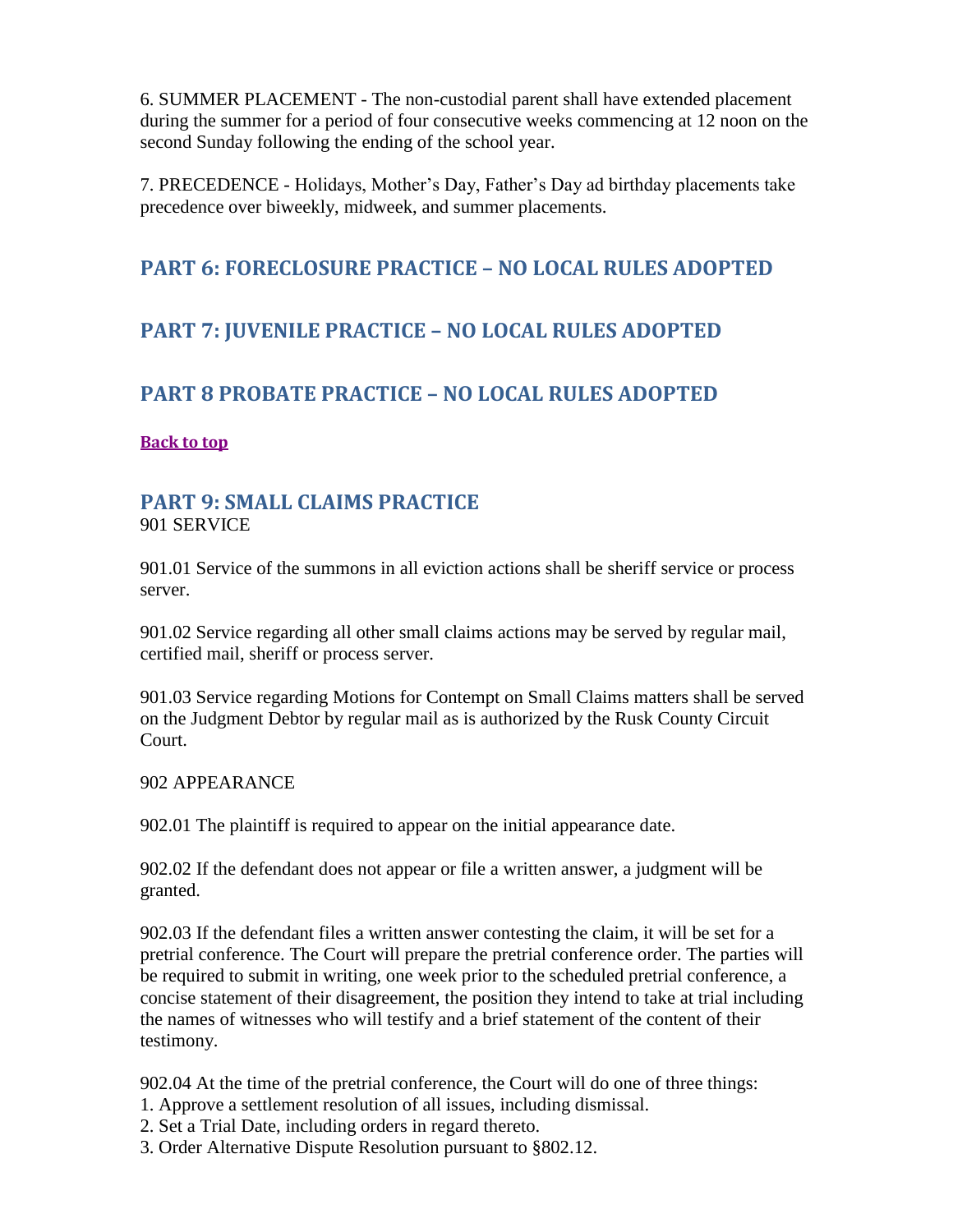6. SUMMER PLACEMENT - The non-custodial parent shall have extended placement during the summer for a period of four consecutive weeks commencing at 12 noon on the second Sunday following the ending of the school year.

7. PRECEDENCE - Holidays, Mother's Day, Father's Day ad birthday placements take precedence over biweekly, midweek, and summer placements.

## <span id="page-6-1"></span><span id="page-6-0"></span>**PART 6: FORECLOSURE PRACTICE – NO LOCAL RULES ADOPTED**

# <span id="page-6-2"></span>**PART 7: JUVENILE PRACTICE – NO LOCAL RULES ADOPTED**

### **PART 8 PROBATE PRACTICE – NO LOCAL RULES ADOPTED**

#### <span id="page-6-3"></span>**[Back to top](#page-0-2)**

#### **PART 9: SMALL CLAIMS PRACTICE**  901 SERVICE

901.01 Service of the summons in all eviction actions shall be sheriff service or process server.

901.02 Service regarding all other small claims actions may be served by regular mail, certified mail, sheriff or process server.

901.03 Service regarding Motions for Contempt on Small Claims matters shall be served on the Judgment Debtor by regular mail as is authorized by the Rusk County Circuit Court.

#### 902 APPEARANCE

902.01 The plaintiff is required to appear on the initial appearance date.

902.02 If the defendant does not appear or file a written answer, a judgment will be granted.

902.03 If the defendant files a written answer contesting the claim, it will be set for a pretrial conference. The Court will prepare the pretrial conference order. The parties will be required to submit in writing, one week prior to the scheduled pretrial conference, a concise statement of their disagreement, the position they intend to take at trial including the names of witnesses who will testify and a brief statement of the content of their testimony.

902.04 At the time of the pretrial conference, the Court will do one of three things:

- 1. Approve a settlement resolution of all issues, including dismissal.
- 2. Set a Trial Date, including orders in regard thereto.
- 3. Order Alternative Dispute Resolution pursuant to §802.12.